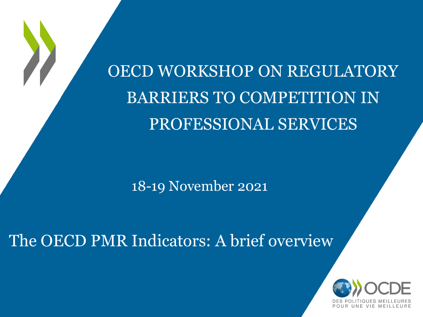OECD WORKSHOP ON REGULATORY BARRIERS TO COMPETITION IN PROFESSIONAL SERVICES

18-19 November 2021

The OECD PMR Indicators: A brief overview

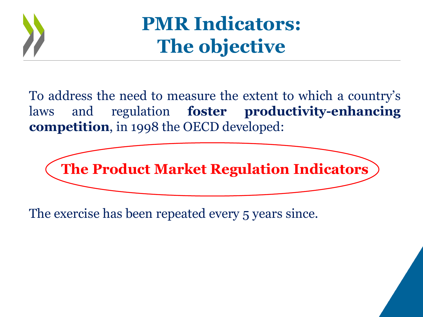

**PMR Indicators: The objective**

To address the need to measure the extent to which a country's laws and regulation **foster productivity-enhancing competition**, in 1998 the OECD developed:



The exercise has been repeated every 5 years since.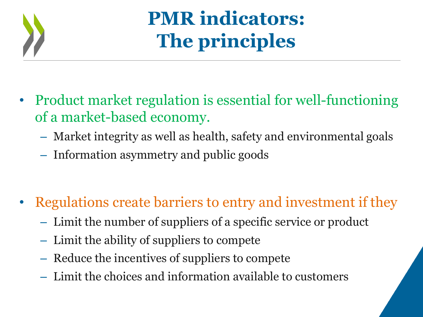

# **PMR indicators: The principles**

- Product market regulation is essential for well-functioning of a market-based economy.
	- Market integrity as well as health, safety and environmental goals
	- Information asymmetry and public goods
- Regulations create barriers to entry and investment if they
	- Limit the number of suppliers of a specific service or product
	- Limit the ability of suppliers to compete
	- Reduce the incentives of suppliers to compete
	- Limit the choices and information available to customers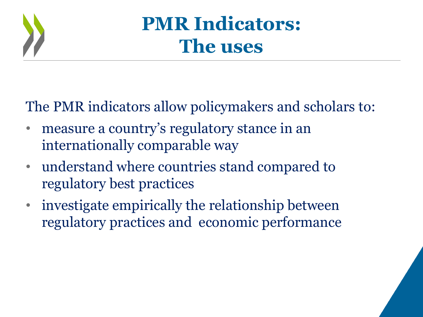

## **PMR Indicators: The uses**

The PMR indicators allow policymakers and scholars to:

- measure a country's regulatory stance in an internationally comparable way
- understand where countries stand compared to regulatory best practices
- investigate empirically the relationship between regulatory practices and economic performance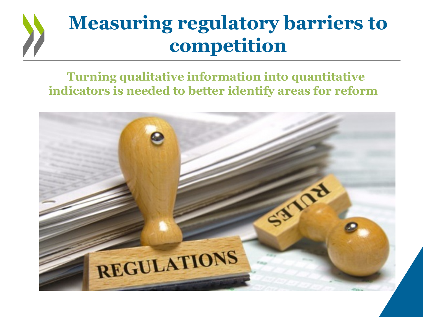# **Measuring regulatory barriers to competition**

#### **Turning qualitative information into quantitative indicators is needed to better identify areas for reform**

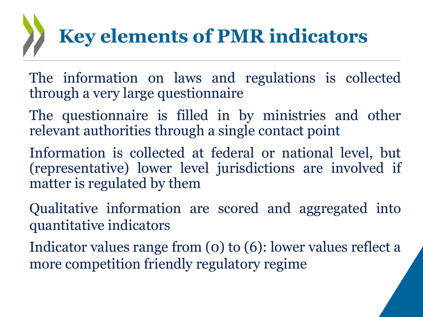# **Key elements of PMR indicators**

- The information on laws and regulations is collected through a very large questionnaire
- The questionnaire is filled in by ministries and other relevant authorities through a single contact point
- Information is collected at federal or national level, but (representative) lower level jurisdictions are involved if matter is regulated by them
- Qualitative information are scored and aggregated into quantitative indicators
- Indicator values range from (0) to (6): lower values reflect a more competition friendly regulatory regime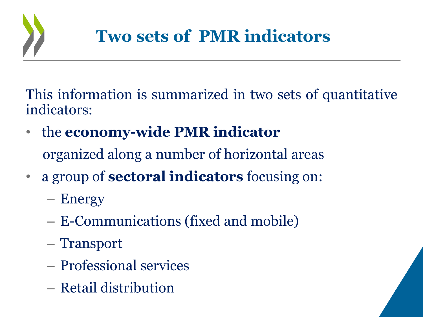

This information is summarized in two sets of quantitative indicators:

- the **economy-wide PMR indicator** organized along a number of horizontal areas
- a group of **sectoral indicators** focusing on:
	- Energy
	- E-Communications (fixed and mobile)
	- Transport
	- Professional services
	- Retail distribution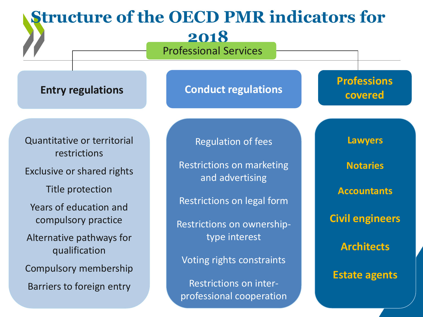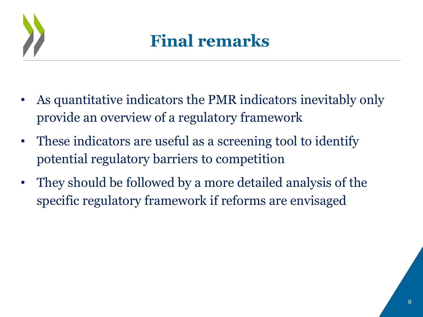

### **Final remarks**

- As quantitative indicators the PMR indicators inevitably only provide an overview of a regulatory framework
- These indicators are useful as a screening tool to identify potential regulatory barriers to competition
- They should be followed by a more detailed analysis of the specific regulatory framework if reforms are envisaged